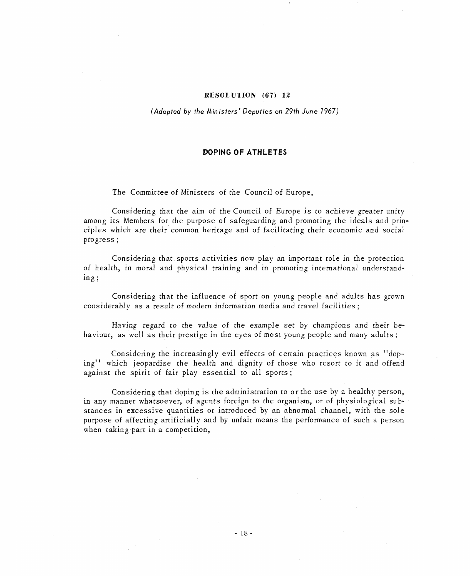## RESOLUTION (67) 12

(Adopted by the Ministers' Deputies on 29th June 1967)

## DOPING OF ATHLETES

The Committee of Ministers of the Council of Europe,

Considering that the aim of the Council of Europe is to achieve greater unity among its Members for the purpose of safeguarding and promoting the ideals and principles which are their common heritage and of facilitating their economic and social progress;

Considering that sports activities now play an important role in the protection of health, in moral and physical training and in promoting international understanding;

Considering that the influence of sport on young people and adults has grown considerably as a result of modern information media and travel facilities;

Having regard to the value of the example set by champions and their behaviour, as well as their prestige in the eyes of most young people and many adults;

Considering the increasingly evil effects of certain practices known as "doping" which jeopardise the health and dignity of those who resort to it and offend against the spirit of fair play essential to all sports;

Considering that doping is the administration to or the use by a healthy person, in any manner whatsoever, of agents foreign to the organism, or of physiological substances in excessive quantities or introduced by an abnormal channel, with the sole purpose of affecting artificially and by unfair means the performance of such a person when taking part in a competition,